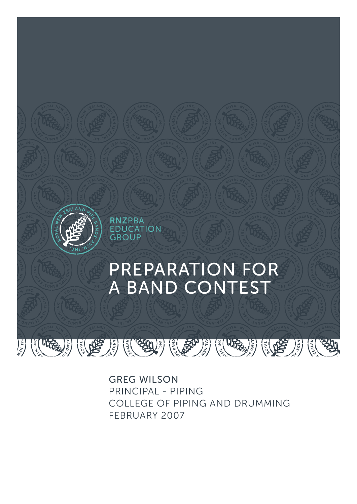

GREG WILSON PRINCIPAL - PIPING COLLEGE OF PIPING AND DRUMMING FEBRUARY 2007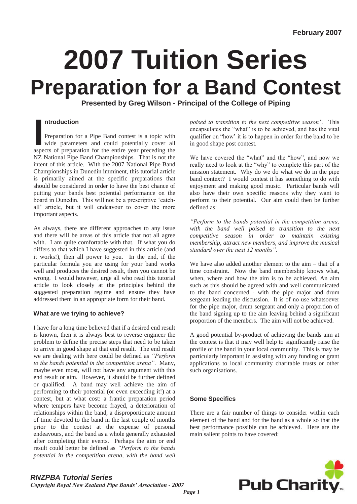# **2007 Tuition Series Preparation for a Band Contest**

**Presented by Greg Wilson - Principal of the College of Piping** 

**I all aspects**<br> **I Preparation for a Pipe Band contest is a topic with<br>
wide parameters and could potentially cover all<br>
aspects of preparation for the entire year preceding the** Preparation for a Pipe Band contest is a topic with wide parameters and could potentially cover all NZ National Pipe Band Championships. That is not the intent of this article. With the 2007 National Pipe Band Championships in Dunedin imminent, this tutorial article is primarily aimed at the specific preparations that should be considered in order to have the best chance of putting your bands best potential performance on the board in Dunedin. This will not be a prescriptive "catchall" article, but it will endeavour to cover the more important aspects.

As always, there are different approaches to any issue and there will be areas of this article that not all agree with. I am quite comfortable with that. If what you do differs to that which I have suggested in this article (and it works!), then all power to you. In the end, if the particular formula you are using for your band works well and produces the desired result, then you cannot be wrong. I would however, urge all who read this tutorial article to look closely at the principles behind the suggested preparation regime and ensure they have addressed them in an appropriate form for their band.

# **What are we trying to achieve?**

I have for a long time believed that if a desired end result is known, then it is always best to reverse engineer the problem to define the precise steps that need to be taken to arrive in good shape at that end result. The end result we are dealing with here could be defined as *"Perform to the bands potential in the competition arena"*. Many, maybe even most, will not have any argument with this end result or aim. However, it should be further defined or qualified. A band may well achieve the aim of performing to their potential (or even exceeding it!) at a contest, but at what cost: a frantic preparation period where tempers have become frayed, a deterioration of relationships within the band, a disproportionate amount of time devoted to the band in the last couple of months prior to the contest at the expense of personal endeavours, and the band as a whole generally exhausted after completing their events. Perhaps the aim or end result could better be defined as *"Perform to the bands potential in the competition arena, with the band well*  *poised to transition to the next competitive season".* This encapsulates the "what" is to be achieved, and has the vital qualifier on "how" it is to happen in order for the band to be in good shape post contest.

We have covered the "what" and the "how", and now we really need to look at the "why" to complete this part of the mission statement. Why do we do what we do in the pipe band context? I would contest it has something to do with enjoyment and making good music. Particular bands will also have their own specific reasons why they want to perform to their potential. Our aim could then be further defined as:

*"Perform to the bands potential in the competition arena, with the band well poised to transition to the next competitive season in order to maintain existing membership, attract new members, and improve the musical standard over the next 12 months".*

We have also added another element to the aim – that of a time constraint. Now the band membership knows what, when, where and how the aim is to be achieved. An aim such as this should be agreed with and well communicated to the band concerned - with the pipe major and drum sergeant leading the discussion. It is of no use whatsoever for the pipe major, drum sergeant and only a proportion of the band signing up to the aim leaving behind a significant proportion of the members. The aim will not be achieved.

A good potential by-product of achieving the bands aim at the contest is that it may well help to significantly raise the profile of the band in your local community. This is may be particularly important in assisting with any funding or grant applications to local community charitable trusts or other such organisations.

# **Some Specifics**

There are a fair number of things to consider within each element of the band and for the band as a whole so that the best performance possible can be achieved. Here are the main salient points to have covered:

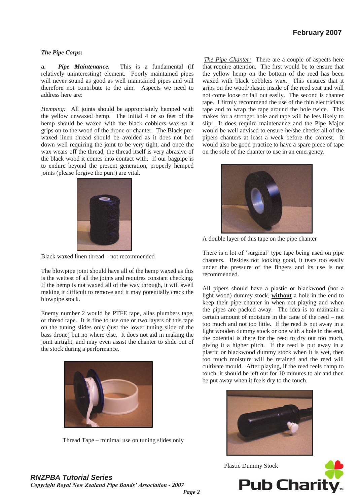#### *The Pipe Corps:*

**a.** *Pipe Maintenance.*This is a fundamental (if relatively uninteresting) element. Poorly maintained pipes will never sound as good as well maintained pipes and will therefore not contribute to the aim. Aspects we need to address here are:

*Hemping:* All joints should be appropriately hemped with the yellow unwaxed hemp. The initial 4 or so feet of the hemp should be waxed with the black cobblers wax so it grips on to the wood of the drone or chanter. The Black prewaxed linen thread should be avoided as it does not bed down well requiring the joint to be very tight, and once the wax wears off the thread, the thread itself is very abrasive of the black wood it comes into contact with. If our bagpipe is to endure beyond the present generation, properly hemped joints (please forgive the pun!) are vital.



Black waxed linen thread – not recommended

The blowpipe joint should have all of the hemp waxed as this is the wettest of all the joints and requires constant checking. If the hemp is not waxed all of the way through, it will swell making it difficult to remove and it may potentially crack the blowpipe stock.

Enemy number 2 would be PTFE tape, alias plumbers tape, or thread tape. It is fine to use one or two layers of this tape on the tuning slides only (just the lower tuning slide of the bass drone) but no where else. It does not aid in making the joint airtight, and may even assist the chanter to slide out of the stock during a performance.



Thread Tape – minimal use on tuning slides only

*The Pipe Chanter:* There are a couple of aspects here that require attention. The first would be to ensure that the yellow hemp on the bottom of the reed has been waxed with black cobblers wax. This ensures that it grips on the wood/plastic inside of the reed seat and will not come loose or fall out easily. The second is chanter tape. I firmly recommend the use of the thin electricians tape and to wrap the tape around the hole twice. This makes for a stronger hole and tape will be less likely to slip. It does require maintenance and the Pipe Major would be well advised to ensure he/she checks all of the pipers chanters at least a week before the contest. It would also be good practice to have a spare piece of tape on the sole of the chanter to use in an emergency.



A double layer of this tape on the pipe chanter

There is a lot of "surgical" type tape being used on pipe chanters. Besides not looking good, it tears too easily under the pressure of the fingers and its use is not recommended.

All pipers should have a plastic or blackwood (not a light wood) dummy stock, **without** a hole in the end to keep their pipe chanter in when not playing and when the pipes are packed away. The idea is to maintain a certain amount of moisture in the cane of the reed – not too much and not too little. If the reed is put away in a light wooden dummy stock or one with a hole in the end, the potential is there for the reed to dry out too much, giving it a higher pitch. If the reed is put away in a plastic or blackwood dummy stock when it is wet, then too much moisture will be retained and the reed will cultivate mould. After playing, if the reed feels damp to touch, it should be left out for 10 minutes to air and then be put away when it feels dry to the touch.



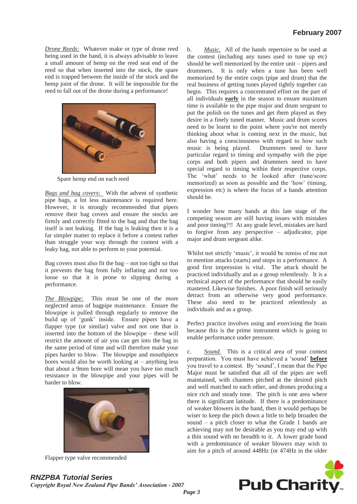*Drone Reeds:* Whatever make or type of drone reed being used in the band, it is always advisable to leave a small amount of hemp on the reed seat end of the reed so that when inserted into the stock, the spare end is trapped between the inside of the stock and the hemp joint of the drone. It will be impossible for the reed to fall out of the drone during a performance!



Spare hemp end on each reed

*Bags and bag covers:* With the advent of synthetic pipe bags, a lot less maintenance is required here. However, it is strongly recommended that pipers remove their bag covers and ensure the stocks are firmly and correctly fitted to the bag and that the bag itself is not leaking. If the bag is leaking then it is a far simpler matter to replace it before a contest rather than struggle your way through the contest with a leaky bag, not able to perform to your potential.

Bag covers must also fit the bag – not too tight so that it prevents the bag from fully inflating and not too loose so that it is prone to slipping during a performance.

*The Blowpipe:* This must be one of the more neglected areas of bagpipe maintenance. Ensure the blowpipe is pulled through regularly to remove the build up of "gunk" inside. Ensure pipers have a flapper type (or similar) valve and not one that is inserted into the bottom of the blowpipe – these will restrict the amount of air you can get into the bag in the same period of time and will therefore make your pipes harder to blow. The blowpipe and mouthpiece bores would also be worth looking at – anything less that about a 9mm bore will mean you have too much resistance in the blowpipe and your pipes will be harder to blow.



Flapper type valve recommended

b. *Music.* All of the bands repertoire to be used at the contest (including any tunes used to tune up etc) should be well memorized by the entire unit – pipers and drummers. It is only when a tune has been well memorized by the entire corps (pipe and drum) that the real business of getting tunes played tightly together can begin. This requires a concentrated effort on the part of all individuals **early** in the season to ensure maximum time is available to the pipe major and drum sergeant to put the polish on the tunes and get them played as they desire in a finely tuned manner. Music and drum scores need to be learnt to the point where you're not merely thinking about what is coming next in the music, but also having a consciousness with regard to how such music is being played. Drummers need to have particular regard to timing and sympathy with the pipe corps and both pipers and drummers need to have special regard to timing within their respective corps. The "what" needs to be looked after (tune/score memorized) as soon as possible and the 'how' (timing, expression etc) is where the focus of a bands attention should be.

I wonder how many bands at this late stage of the competing season are still having issues with mistakes and poor timing?!! At any grade level, mistakes are hard to forgive from any perspective – adjudicator, pipe major and drum sergeant alike.

Whilst not strictly "music", it would be remiss of me not to mention attacks (starts) and stops in a performance. A good first impression is vital. The attack should be practiced individually and as a group relentlessly. It is a technical aspect of the performance that should be easily mastered. Likewise finishes. A poor finish will seriously detract from an otherwise very good performance. These also need to be practiced relentlessly as individuals and as a group.

Perfect practice involves using and exercising the brain because this is the prime instrument which is going to enable performance under pressure.

c. *Sound.* This is a critical area of your contest preparation. You must have achieved a "sound" **before** you travel to a contest. By "sound", I mean that the Pipe Major must be satisfied that all of the pipes are well maintained, with chanters pitched at the desired pitch and well matched to each other, and drones producing a nice rich and steady tone. The pitch is one area where there is significant latitude. If there is a predominance of weaker blowers in the band, then it would perhaps be wiser to keep the pitch down a little to help broaden the sound – a pitch closer to what the Grade 1 bands are achieving may not be desirable as you may end up with a thin sound with no breadth to it. A lower grade band with a predominance of weaker blowers may wish to aim for a pitch of around 448Hz (or 474Hz in the older

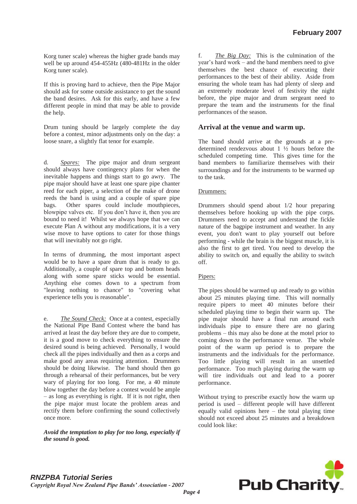Korg tuner scale) whereas the higher grade bands may well be up around 454-455Hz (480-481Hz in the older Korg tuner scale).

If this is proving hard to achieve, then the Pipe Major should ask for some outside assistance to get the sound the band desires. Ask for this early, and have a few different people in mind that may be able to provide the help.

Drum tuning should be largely complete the day before a contest, minor adjustments only on the day: a loose snare, a slightly flat tenor for example.

d. *Spares:* The pipe major and drum sergeant should always have contingency plans for when the inevitable happens and things start to go awry. The pipe major should have at least one spare pipe chanter reed for each piper, a selection of the make of drone reeds the band is using and a couple of spare pipe bags. Other spares could include mouthpieces, blowpipe valves etc. If you don"t have it, then you are bound to need it! Whilst we always hope that we can execute Plan A without any modifications, it is a very wise move to have options to cater for those things that will inevitably not go right.

In terms of drumming, the most important aspect would be to have a spare drum that is ready to go. Additionally, a couple of spare top and bottom heads along with some spare sticks would be essential. Anything else comes down to a spectrum from "leaving nothing to chance" to "covering what experience tells you is reasonable".

e. *The Sound Check:* Once at a contest, especially the National Pipe Band Contest where the band has arrived at least the day before they are due to compete, it is a good move to check everything to ensure the desired sound is being achieved. Personally, I would check all the pipes individually and then as a corps and make good any areas requiring attention. Drummers should be doing likewise. The band should then go through a rehearsal of their performances, but be very wary of playing for too long. For me, a 40 minute blow together the day before a contest would be ample – as long as everything is right. If it is not right, then the pipe major must locate the problem areas and rectify them before confirming the sound collectively once more.

*Avoid the temptation to play for too long, especially if the sound is good.* 

The Big Day: This is the culmination of the year"s hard work – and the band members need to give themselves the best chance of executing their performances to the best of their ability. Aside from ensuring the whole team has had plenty of sleep and an extremely moderate level of festivity the night before, the pipe major and drum sergeant need to prepare the team and the instruments for the final performances of the season.

# **Arrival at the venue and warm up.**

The band should arrive at the grounds at a predetermined rendezvous about 1 ½ hours before the scheduled competing time. This gives time for the band members to familiarize themselves with their surroundings and for the instruments to be warmed up to the task.

### Drummers:

Drummers should spend about 1/2 hour preparing themselves before hooking up with the pipe corps. Drummers need to accept and understand the fickle nature of the bagpipe instrument and weather. In any event, you don't want to play yourself out before performing - while the brain is the biggest muscle, it is also the first to get tired. You need to develop the ability to switch on, and equally the ability to switch off.

# Pipers:

The pipes should be warmed up and ready to go within about 25 minutes playing time. This will normally require pipers to meet 40 minutes before their scheduled playing time to begin their warm up. The pipe major should have a final run around each individuals pipe to ensure there are no glaring problems – this may also be done at the motel prior to coming down to the performance venue. The whole point of the warm up period is to prepare the instruments and the individuals for the performance. Too little playing will result in an unsettled performance. Too much playing during the warm up will tire individuals out and lead to a poorer performance.

Without trying to prescribe exactly how the warm up period is used – different people will have different equally valid opinions here – the total playing time should not exceed about 25 minutes and a breakdown could look like: